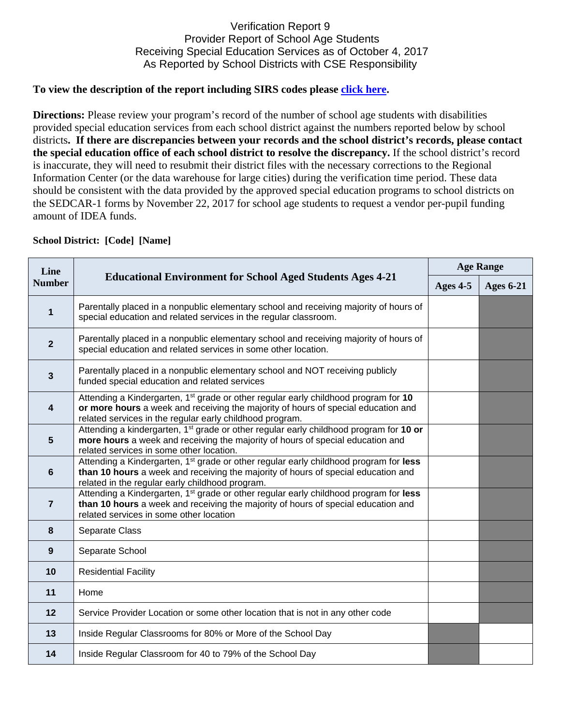## Verification Report 9 Provider Report of School Age Students Receiving Special Education Services as of October 4, 2017 As Reported by School Districts with CSE Responsibility

## **To view the description of the report including SIRS codes please click here.**

**Directions:** Please review your program's record of the number of school age students with disabilities provided special education services from each school district against the numbers reported below by school districts**. If there are discrepancies between your records and the school district's records, please contact the special education office of each school district to resolve the discrepancy.** If the school district's record is inaccurate, they will need to resubmit their district files with the necessary corrections to the Regional Information Center (or the data warehouse for large cities) during the verification time period. These data should be consistent with the data provided by the approved special education programs to school districts on the SEDCAR-1 forms by November 22, 2017 for school age students to request a vendor per-pupil funding amount of IDEA funds.

| <b>School District: [Code] [Name]</b> |                                                                                                                                                                                                                                                  |                  |                  |  |  |
|---------------------------------------|--------------------------------------------------------------------------------------------------------------------------------------------------------------------------------------------------------------------------------------------------|------------------|------------------|--|--|
| Line<br><b>Number</b>                 | <b>Educational Environment for School Aged Students Ages 4-21</b>                                                                                                                                                                                | <b>Age Range</b> |                  |  |  |
|                                       |                                                                                                                                                                                                                                                  | Ages 4-5         | <b>Ages 6-21</b> |  |  |
| 1                                     | Parentally placed in a nonpublic elementary school and receiving majority of hours of<br>special education and related services in the regular classroom.                                                                                        |                  |                  |  |  |
| $\overline{2}$                        | Parentally placed in a nonpublic elementary school and receiving majority of hours of<br>special education and related services in some other location.                                                                                          |                  |                  |  |  |
| $\mathbf{3}$                          | Parentally placed in a nonpublic elementary school and NOT receiving publicly<br>funded special education and related services                                                                                                                   |                  |                  |  |  |
| 4                                     | Attending a Kindergarten, 1 <sup>st</sup> grade or other regular early childhood program for 10<br>or more hours a week and receiving the majority of hours of special education and<br>related services in the regular early childhood program. |                  |                  |  |  |
| $5\phantom{1}$                        | Attending a kindergarten, 1 <sup>st</sup> grade or other regular early childhood program for 10 or<br>more hours a week and receiving the majority of hours of special education and<br>related services in some other location.                 |                  |                  |  |  |
| $6\phantom{1}6$                       | Attending a Kindergarten, 1 <sup>st</sup> grade or other regular early childhood program for less<br>than 10 hours a week and receiving the majority of hours of special education and<br>related in the regular early childhood program.        |                  |                  |  |  |
| $\overline{7}$                        | Attending a Kindergarten, 1 <sup>st</sup> grade or other regular early childhood program for less<br>than 10 hours a week and receiving the majority of hours of special education and<br>related services in some other location                |                  |                  |  |  |
| 8                                     | Separate Class                                                                                                                                                                                                                                   |                  |                  |  |  |
| 9                                     | Separate School                                                                                                                                                                                                                                  |                  |                  |  |  |
| 10                                    | <b>Residential Facility</b>                                                                                                                                                                                                                      |                  |                  |  |  |
| 11                                    | Home                                                                                                                                                                                                                                             |                  |                  |  |  |
| 12                                    | Service Provider Location or some other location that is not in any other code                                                                                                                                                                   |                  |                  |  |  |
| 13                                    | Inside Regular Classrooms for 80% or More of the School Day                                                                                                                                                                                      |                  |                  |  |  |
| 14                                    | Inside Regular Classroom for 40 to 79% of the School Day                                                                                                                                                                                         |                  |                  |  |  |